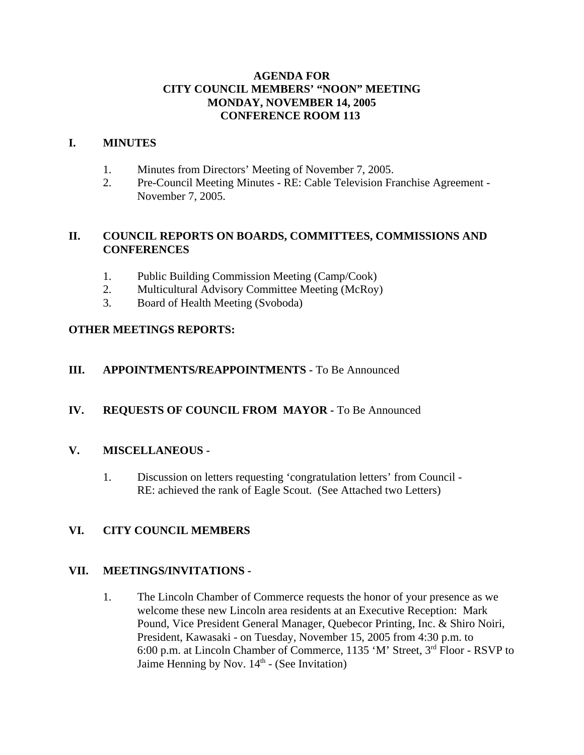# **AGENDA FOR CITY COUNCIL MEMBERS' "NOON" MEETING MONDAY, NOVEMBER 14, 2005 CONFERENCE ROOM 113**

### **I. MINUTES**

- 1. Minutes from Directors' Meeting of November 7, 2005.
- 2. Pre-Council Meeting Minutes RE: Cable Television Franchise Agreement November 7, 2005.

# **II. COUNCIL REPORTS ON BOARDS, COMMITTEES, COMMISSIONS AND CONFERENCES**

- 1. Public Building Commission Meeting (Camp/Cook)
- 2. Multicultural Advisory Committee Meeting (McRoy)
- 3. Board of Health Meeting (Svoboda)

# **OTHER MEETINGS REPORTS:**

# **III.** APPOINTMENTS/REAPPOINTMENTS - To Be Announced

# **IV. REQUESTS OF COUNCIL FROM MAYOR -** To Be Announced

# **V. MISCELLANEOUS -**

1. Discussion on letters requesting 'congratulation letters' from Council - RE: achieved the rank of Eagle Scout. (See Attached two Letters)

# **VI. CITY COUNCIL MEMBERS**

# **VII. MEETINGS/INVITATIONS -**

1. The Lincoln Chamber of Commerce requests the honor of your presence as we welcome these new Lincoln area residents at an Executive Reception: Mark Pound, Vice President General Manager, Quebecor Printing, Inc. & Shiro Noiri, President, Kawasaki - on Tuesday, November 15, 2005 from 4:30 p.m. to 6:00 p.m. at Lincoln Chamber of Commerce, 1135 'M' Street, 3rd Floor - RSVP to Jaime Henning by Nov.  $14<sup>th</sup>$  - (See Invitation)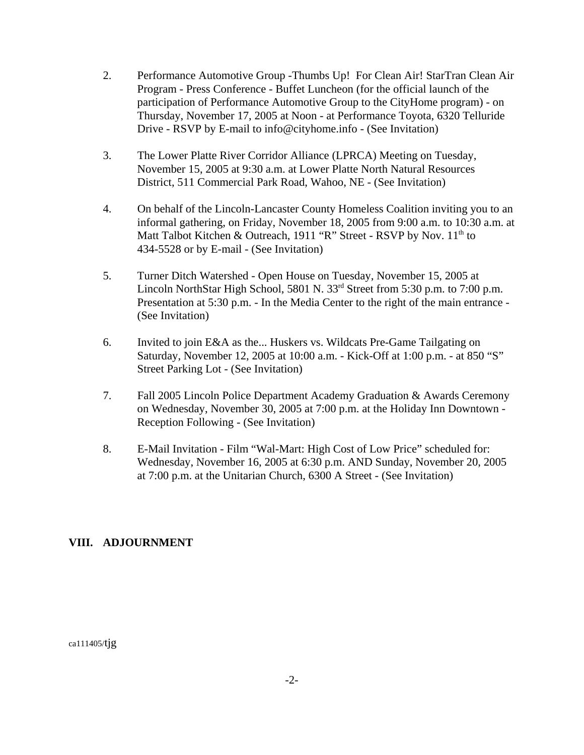- 2. Performance Automotive Group -Thumbs Up! For Clean Air! StarTran Clean Air Program - Press Conference - Buffet Luncheon (for the official launch of the participation of Performance Automotive Group to the CityHome program) - on Thursday, November 17, 2005 at Noon - at Performance Toyota, 6320 Telluride Drive - RSVP by E-mail to info@cityhome.info - (See Invitation)
- 3. The Lower Platte River Corridor Alliance (LPRCA) Meeting on Tuesday, November 15, 2005 at 9:30 a.m. at Lower Platte North Natural Resources District, 511 Commercial Park Road, Wahoo, NE - (See Invitation)
- 4. On behalf of the Lincoln-Lancaster County Homeless Coalition inviting you to an informal gathering, on Friday, November 18, 2005 from 9:00 a.m. to 10:30 a.m. at Matt Talbot Kitchen & Outreach, 1911 "R" Street - RSVP by Nov. 11<sup>th</sup> to 434-5528 or by E-mail - (See Invitation)
- 5. Turner Ditch Watershed Open House on Tuesday, November 15, 2005 at Lincoln NorthStar High School, 5801 N. 33<sup>rd</sup> Street from 5:30 p.m. to 7:00 p.m. Presentation at 5:30 p.m. - In the Media Center to the right of the main entrance - (See Invitation)
- 6. Invited to join E&A as the... Huskers vs. Wildcats Pre-Game Tailgating on Saturday, November 12, 2005 at 10:00 a.m. - Kick-Off at 1:00 p.m. - at 850 "S" Street Parking Lot - (See Invitation)
- 7. Fall 2005 Lincoln Police Department Academy Graduation & Awards Ceremony on Wednesday, November 30, 2005 at 7:00 p.m. at the Holiday Inn Downtown - Reception Following - (See Invitation)
- 8. E-Mail Invitation Film "Wal-Mart: High Cost of Low Price" scheduled for: Wednesday, November 16, 2005 at 6:30 p.m. AND Sunday, November 20, 2005 at 7:00 p.m. at the Unitarian Church, 6300 A Street - (See Invitation)

# **VIII. ADJOURNMENT**

ca111405/tjg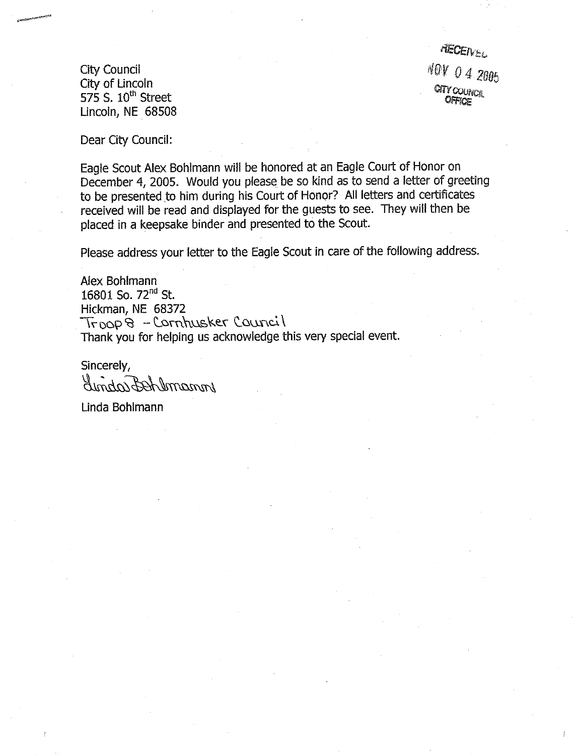**City Council** City of Lincoln 575 S.  $10^{th}$  Street Lincoln, NE 68508

**RECEIVEL** NOV 04 2005 CITY COUNCIL

Dear City Council:

Eagle Scout Alex Bohlmann will be honored at an Eagle Court of Honor on December 4, 2005. Would you please be so kind as to send a letter of greeting to be presented to him during his Court of Honor? All letters and certificates received will be read and displayed for the guests to see. They will then be placed in a keepsake binder and presented to the Scout.

Please address your letter to the Eagle Scout in care of the following address.

Alex Bohlmann 16801 So. 72<sup>nd</sup> St. Hickman, NE 68372 Troop 8 - Cornhusker Council Thank you for helping us acknowledge this very special event.

Sincerely, Under Bornemon

Linda Bohlmann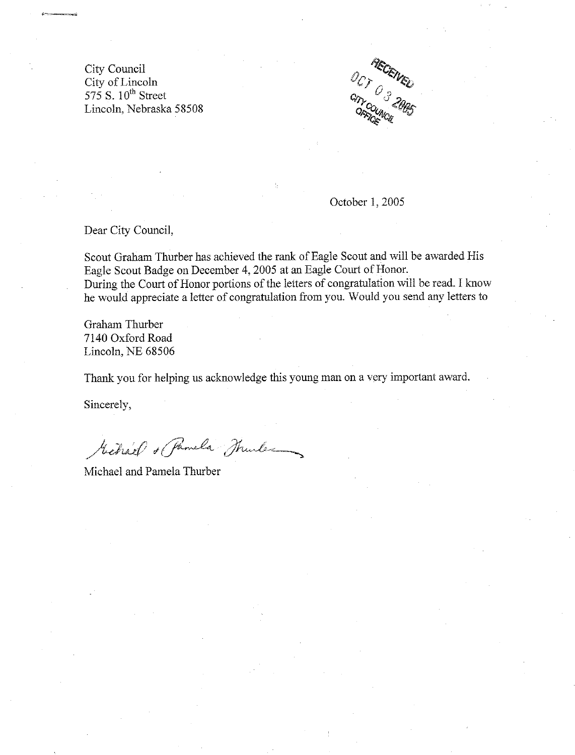City Council City of Lincoln 575 S. 10<sup>th</sup> Street Lincoln, Nebraska 58508



October 1, 2005

Dear City Council,

Scout Graham Thurber has achieved the rank of Eagle Scout and will be awarded His Eagle Scout Badge on December 4, 2005 at an Eagle Court of Honor. During the Court of Honor portions of the letters of congratulation will be read. I know he would appreciate a letter of congratulation from you. Would you send any letters to

Graham Thurber 7140 Oxford Road Lincoln, NE 68506

Thank you for helping us acknowledge this young man on a very important award.

Sincerely,

Mehalf & Pamela Thurles

Michael and Pamela Thurber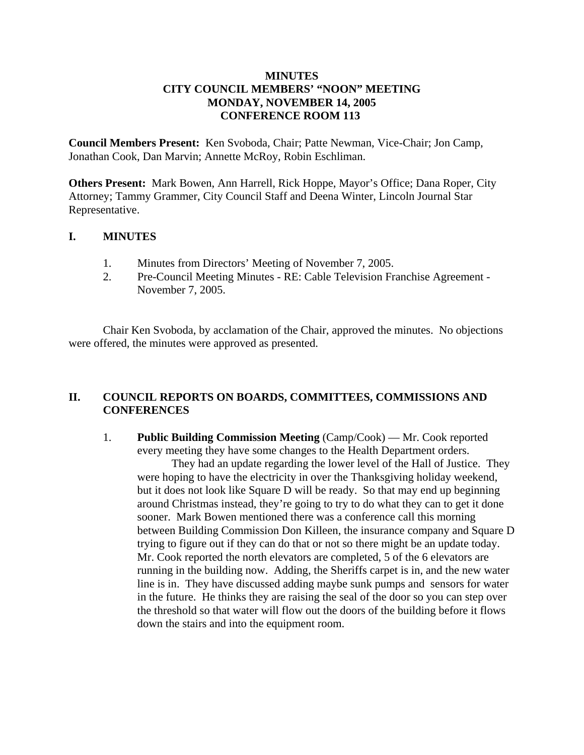### **MINUTES CITY COUNCIL MEMBERS' "NOON" MEETING MONDAY, NOVEMBER 14, 2005 CONFERENCE ROOM 113**

**Council Members Present:** Ken Svoboda, Chair; Patte Newman, Vice-Chair; Jon Camp, Jonathan Cook, Dan Marvin; Annette McRoy, Robin Eschliman.

**Others Present:** Mark Bowen, Ann Harrell, Rick Hoppe, Mayor's Office; Dana Roper, City Attorney; Tammy Grammer, City Council Staff and Deena Winter, Lincoln Journal Star Representative.

### **I. MINUTES**

- 1. Minutes from Directors' Meeting of November 7, 2005.
- 2. Pre-Council Meeting Minutes RE: Cable Television Franchise Agreement November 7, 2005.

Chair Ken Svoboda, by acclamation of the Chair, approved the minutes. No objections were offered, the minutes were approved as presented.

### **II. COUNCIL REPORTS ON BOARDS, COMMITTEES, COMMISSIONS AND CONFERENCES**

1. **Public Building Commission Meeting** (Camp/Cook) — Mr. Cook reported every meeting they have some changes to the Health Department orders.

They had an update regarding the lower level of the Hall of Justice. They were hoping to have the electricity in over the Thanksgiving holiday weekend, but it does not look like Square D will be ready. So that may end up beginning around Christmas instead, they're going to try to do what they can to get it done sooner. Mark Bowen mentioned there was a conference call this morning between Building Commission Don Killeen, the insurance company and Square D trying to figure out if they can do that or not so there might be an update today. Mr. Cook reported the north elevators are completed, 5 of the 6 elevators are running in the building now. Adding, the Sheriffs carpet is in, and the new water line is in. They have discussed adding maybe sunk pumps and sensors for water in the future. He thinks they are raising the seal of the door so you can step over the threshold so that water will flow out the doors of the building before it flows down the stairs and into the equipment room.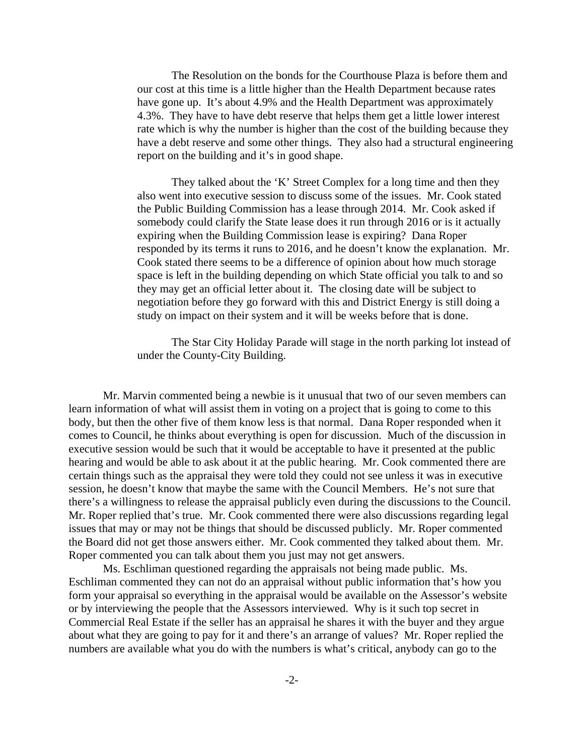The Resolution on the bonds for the Courthouse Plaza is before them and our cost at this time is a little higher than the Health Department because rates have gone up. It's about 4.9% and the Health Department was approximately 4.3%. They have to have debt reserve that helps them get a little lower interest rate which is why the number is higher than the cost of the building because they have a debt reserve and some other things. They also had a structural engineering report on the building and it's in good shape.

They talked about the 'K' Street Complex for a long time and then they also went into executive session to discuss some of the issues. Mr. Cook stated the Public Building Commission has a lease through 2014. Mr. Cook asked if somebody could clarify the State lease does it run through 2016 or is it actually expiring when the Building Commission lease is expiring? Dana Roper responded by its terms it runs to 2016, and he doesn't know the explanation. Mr. Cook stated there seems to be a difference of opinion about how much storage space is left in the building depending on which State official you talk to and so they may get an official letter about it. The closing date will be subject to negotiation before they go forward with this and District Energy is still doing a study on impact on their system and it will be weeks before that is done.

The Star City Holiday Parade will stage in the north parking lot instead of under the County-City Building.

Mr. Marvin commented being a newbie is it unusual that two of our seven members can learn information of what will assist them in voting on a project that is going to come to this body, but then the other five of them know less is that normal. Dana Roper responded when it comes to Council, he thinks about everything is open for discussion. Much of the discussion in executive session would be such that it would be acceptable to have it presented at the public hearing and would be able to ask about it at the public hearing. Mr. Cook commented there are certain things such as the appraisal they were told they could not see unless it was in executive session, he doesn't know that maybe the same with the Council Members. He's not sure that there's a willingness to release the appraisal publicly even during the discussions to the Council. Mr. Roper replied that's true. Mr. Cook commented there were also discussions regarding legal issues that may or may not be things that should be discussed publicly. Mr. Roper commented the Board did not get those answers either. Mr. Cook commented they talked about them. Mr. Roper commented you can talk about them you just may not get answers.

Ms. Eschliman questioned regarding the appraisals not being made public. Ms. Eschliman commented they can not do an appraisal without public information that's how you form your appraisal so everything in the appraisal would be available on the Assessor's website or by interviewing the people that the Assessors interviewed. Why is it such top secret in Commercial Real Estate if the seller has an appraisal he shares it with the buyer and they argue about what they are going to pay for it and there's an arrange of values? Mr. Roper replied the numbers are available what you do with the numbers is what's critical, anybody can go to the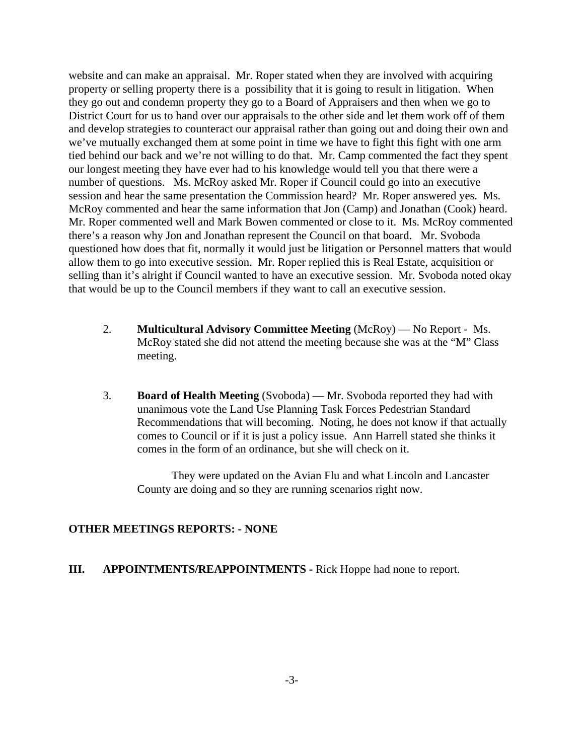website and can make an appraisal. Mr. Roper stated when they are involved with acquiring property or selling property there is a possibility that it is going to result in litigation. When they go out and condemn property they go to a Board of Appraisers and then when we go to District Court for us to hand over our appraisals to the other side and let them work off of them and develop strategies to counteract our appraisal rather than going out and doing their own and we've mutually exchanged them at some point in time we have to fight this fight with one arm tied behind our back and we're not willing to do that. Mr. Camp commented the fact they spent our longest meeting they have ever had to his knowledge would tell you that there were a number of questions. Ms. McRoy asked Mr. Roper if Council could go into an executive session and hear the same presentation the Commission heard? Mr. Roper answered yes. Ms. McRoy commented and hear the same information that Jon (Camp) and Jonathan (Cook) heard. Mr. Roper commented well and Mark Bowen commented or close to it. Ms. McRoy commented there's a reason why Jon and Jonathan represent the Council on that board. Mr. Svoboda questioned how does that fit, normally it would just be litigation or Personnel matters that would allow them to go into executive session. Mr. Roper replied this is Real Estate, acquisition or selling than it's alright if Council wanted to have an executive session. Mr. Svoboda noted okay that would be up to the Council members if they want to call an executive session.

- 2. **Multicultural Advisory Committee Meeting** (McRoy) No Report Ms. McRoy stated she did not attend the meeting because she was at the "M" Class meeting.
- 3. **Board of Health Meeting** (Svoboda) Mr. Svoboda reported they had with unanimous vote the Land Use Planning Task Forces Pedestrian Standard Recommendations that will becoming. Noting, he does not know if that actually comes to Council or if it is just a policy issue. Ann Harrell stated she thinks it comes in the form of an ordinance, but she will check on it.

They were updated on the Avian Flu and what Lincoln and Lancaster County are doing and so they are running scenarios right now.

### **OTHER MEETINGS REPORTS: - NONE**

### **III. APPOINTMENTS/REAPPOINTMENTS -** Rick Hoppe had none to report.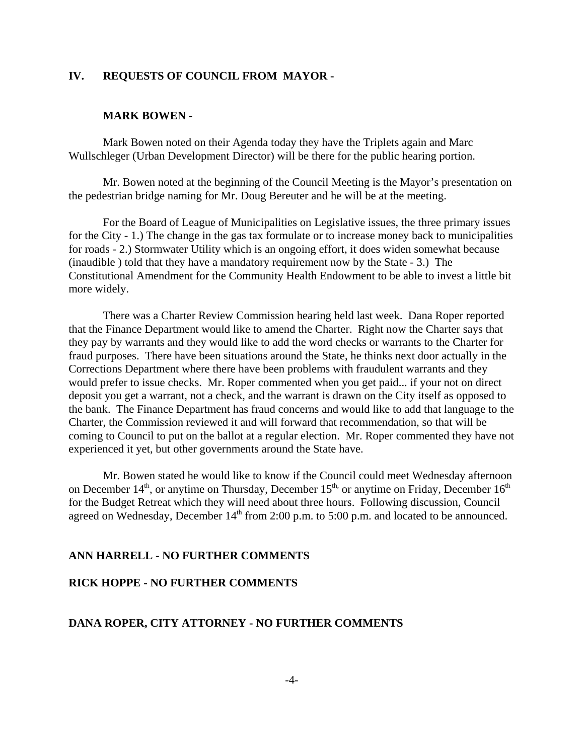### **IV. REQUESTS OF COUNCIL FROM MAYOR -**

#### **MARK BOWEN -**

Mark Bowen noted on their Agenda today they have the Triplets again and Marc Wullschleger (Urban Development Director) will be there for the public hearing portion.

Mr. Bowen noted at the beginning of the Council Meeting is the Mayor's presentation on the pedestrian bridge naming for Mr. Doug Bereuter and he will be at the meeting.

For the Board of League of Municipalities on Legislative issues, the three primary issues for the City - 1.) The change in the gas tax formulate or to increase money back to municipalities for roads - 2.) Stormwater Utility which is an ongoing effort, it does widen somewhat because (inaudible ) told that they have a mandatory requirement now by the State - 3.) The Constitutional Amendment for the Community Health Endowment to be able to invest a little bit more widely.

There was a Charter Review Commission hearing held last week. Dana Roper reported that the Finance Department would like to amend the Charter. Right now the Charter says that they pay by warrants and they would like to add the word checks or warrants to the Charter for fraud purposes. There have been situations around the State, he thinks next door actually in the Corrections Department where there have been problems with fraudulent warrants and they would prefer to issue checks. Mr. Roper commented when you get paid... if your not on direct deposit you get a warrant, not a check, and the warrant is drawn on the City itself as opposed to the bank. The Finance Department has fraud concerns and would like to add that language to the Charter, the Commission reviewed it and will forward that recommendation, so that will be coming to Council to put on the ballot at a regular election. Mr. Roper commented they have not experienced it yet, but other governments around the State have.

Mr. Bowen stated he would like to know if the Council could meet Wednesday afternoon on December  $14<sup>th</sup>$ , or anytime on Thursday, December  $15<sup>th</sup>$ , or anytime on Friday, December  $16<sup>th</sup>$ for the Budget Retreat which they will need about three hours. Following discussion, Council agreed on Wednesday, December  $14<sup>th</sup>$  from 2:00 p.m. to 5:00 p.m. and located to be announced.

#### **ANN HARRELL - NO FURTHER COMMENTS**

### **RICK HOPPE - NO FURTHER COMMENTS**

#### **DANA ROPER, CITY ATTORNEY - NO FURTHER COMMENTS**